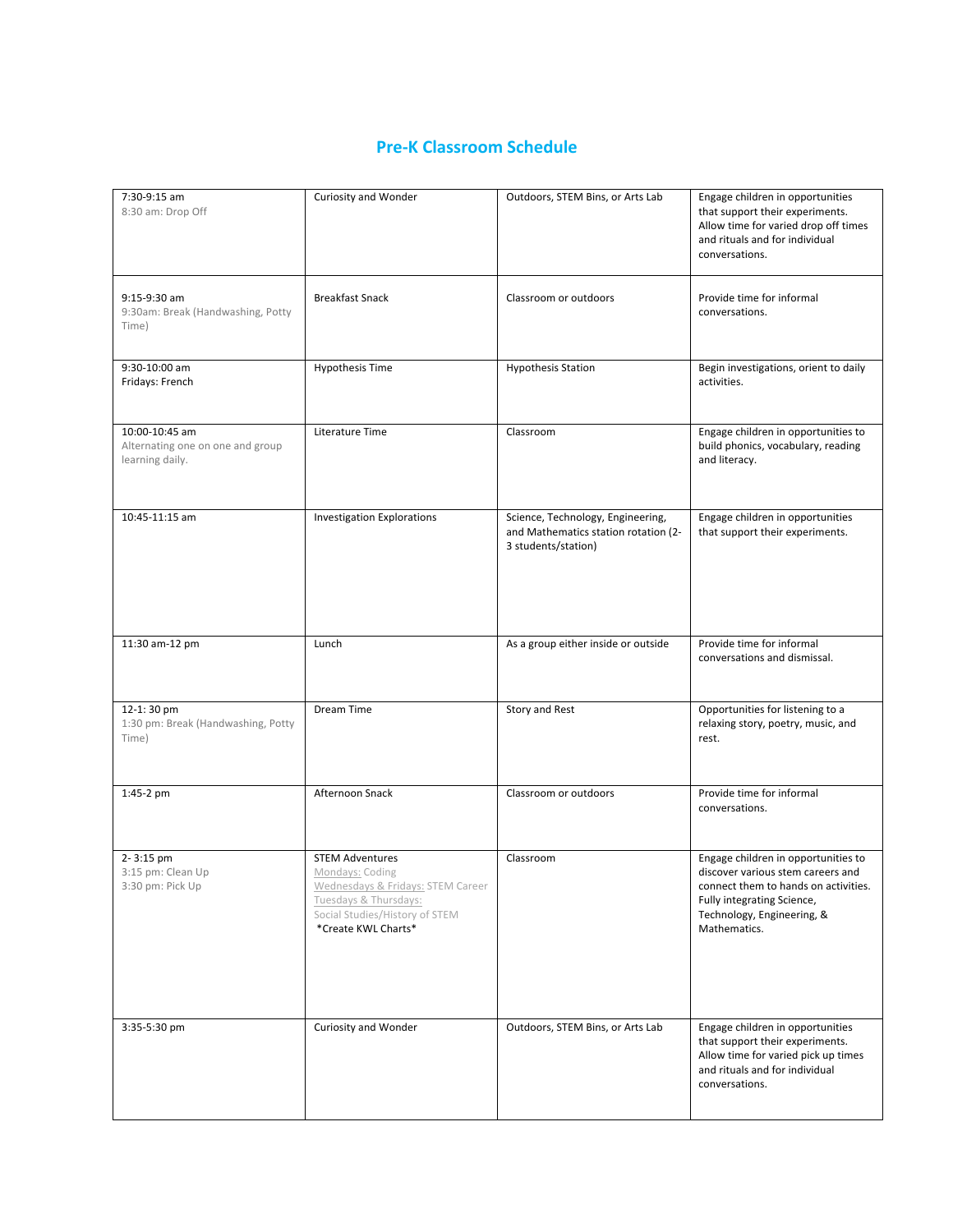# **Pre-K Classroom Schedule**

| 7:30-9:15 am<br>8:30 am: Drop Off                                     | Curiosity and Wonder                                                                                                                                             | Outdoors, STEM Bins, or Arts Lab                                                                 | Engage children in opportunities<br>that support their experiments.<br>Allow time for varied drop off times<br>and rituals and for individual<br>conversations.                              |
|-----------------------------------------------------------------------|------------------------------------------------------------------------------------------------------------------------------------------------------------------|--------------------------------------------------------------------------------------------------|----------------------------------------------------------------------------------------------------------------------------------------------------------------------------------------------|
| 9:15-9:30 am<br>9:30am: Break (Handwashing, Potty<br>Time)            | <b>Breakfast Snack</b>                                                                                                                                           | Classroom or outdoors                                                                            | Provide time for informal<br>conversations.                                                                                                                                                  |
| 9:30-10:00 am<br>Fridays: French                                      | <b>Hypothesis Time</b>                                                                                                                                           | <b>Hypothesis Station</b>                                                                        | Begin investigations, orient to daily<br>activities.                                                                                                                                         |
| 10:00-10:45 am<br>Alternating one on one and group<br>learning daily. | Literature Time                                                                                                                                                  | Classroom                                                                                        | Engage children in opportunities to<br>build phonics, vocabulary, reading<br>and literacy.                                                                                                   |
| 10:45-11:15 am                                                        | <b>Investigation Explorations</b>                                                                                                                                | Science, Technology, Engineering,<br>and Mathematics station rotation (2-<br>3 students/station) | Engage children in opportunities<br>that support their experiments.                                                                                                                          |
| 11:30 am-12 pm                                                        | Lunch                                                                                                                                                            | As a group either inside or outside                                                              | Provide time for informal<br>conversations and dismissal.                                                                                                                                    |
| 12-1:30 pm<br>1:30 pm: Break (Handwashing, Potty<br>Time)             | Dream Time                                                                                                                                                       | Story and Rest                                                                                   | Opportunities for listening to a<br>relaxing story, poetry, music, and<br>rest.                                                                                                              |
| 1:45-2 pm                                                             | Afternoon Snack                                                                                                                                                  | Classroom or outdoors                                                                            | Provide time for informal<br>conversations.                                                                                                                                                  |
| 2-3:15 pm<br>3:15 pm: Clean Up<br>3:30 pm: Pick Up                    | <b>STEM Adventures</b><br>Mondays: Coding<br>Wednesdays & Fridays: STEM Career<br>Tuesdays & Thursdays:<br>Social Studies/History of STEM<br>*Create KWL Charts* | Classroom                                                                                        | Engage children in opportunities to<br>discover various stem careers and<br>connect them to hands on activities.<br>Fully integrating Science,<br>Technology, Engineering, &<br>Mathematics. |
| 3:35-5:30 pm                                                          | Curiosity and Wonder                                                                                                                                             | Outdoors, STEM Bins, or Arts Lab                                                                 | Engage children in opportunities<br>that support their experiments.<br>Allow time for varied pick up times<br>and rituals and for individual<br>conversations.                               |